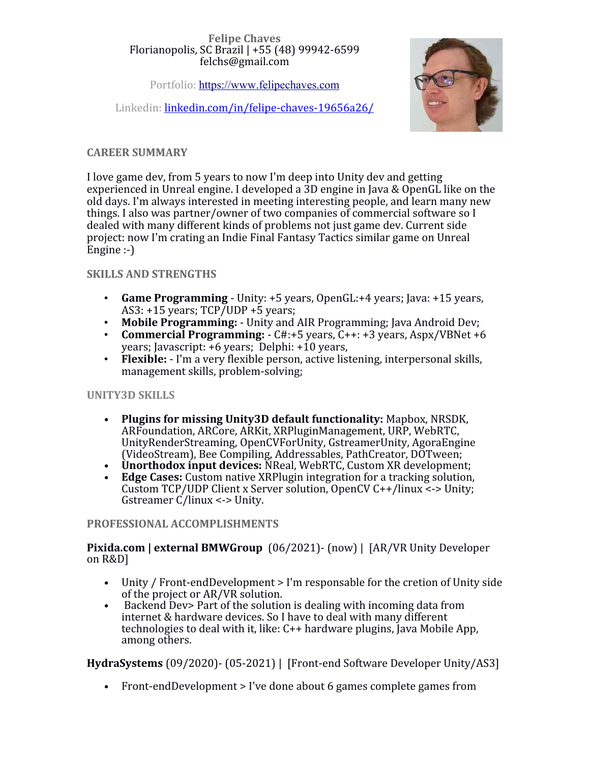#### **Felipe Chaves** Florianopolis, SC Brazil | +55 (48) 99942-6599 felchs@gmail.com

Portfolio: [https://www.felipechaves.com](https://www.felipechaves.com/)

Linkedin: [linkedin.com/in/felipe-chaves-19656a26/](http://linkedin.com/in/felipe-chaves-19656a26/)



## **CAREER SUMMARY**

I love game dev, from 5 years to now I'm deep into Unity dev and getting experienced in Unreal engine. I developed a 3D engine in Java & OpenGL like on the old days. I'm always interested in meeting interesting people, and learn many new things. I also was partner/owner of two companies of commercial software so I dealed with many different kinds of problems not just game dev. Current side project: now I'm crating an Indie Final Fantasy Tactics similar game on Unreal Engine :-)

### **SKILLS AND STRENGTHS**

- **Game Programming** Unity: +5 years, OpenGL:+4 years; Java: +15 years, AS3: +15 years; TCP/UDP +5 years;
- **Mobile Programming:** Unity and AIR Programming; Java Android Dev;
- **Commercial Programming:**  C#:+5 years, C++: +3 years, Aspx/VBNet +6 years; Javascript: +6 years; Delphi: +10 years,
- **Flexible:** I'm a very flexible person, active listening, interpersonal skills, management skills, problem-solving;

# **UNITY3D SKILLS**

- **Plugins for missing Unity3D default functionality:** Mapbox, NRSDK, ARFoundation, ARCore, ARKit, XRPluginManagement, URP, WebRTC, UnityRenderStreaming, OpenCVForUnity, GstreamerUnity, AgoraEngine (VideoStream), Bee Compiling, Addressables, PathCreator, DOTween;
- **Unorthodox input devices:** NReal, WebRTC, Custom XR development;
- **Edge Cases:** Custom native XRPlugin integration for a tracking solution, Custom TCP/UDP Client x Server solution, OpenCV C++/linux <-> Unity; Gstreamer C/linux <-> Unity.

### **PROFESSIONAL ACCOMPLISHMENTS**

**Pixida.com | external BMWGroup** (06/2021)- (now) | [AR/VR Unity Developer on R&D]

- Unity / Front-endDevelopment > I'm responsable for the cretion of Unity side of the project or AR/VR solution.
- Backend Dev> Part of the solution is dealing with incoming data from internet & hardware devices. So I have to deal with many different technologies to deal with it, like: C++ hardware plugins, Java Mobile App, among others.

**HydraSystems** (09/2020)- (05-2021) | [Front-end Software Developer Unity/AS3]

• Front-endDevelopment > I've done about 6 games complete games from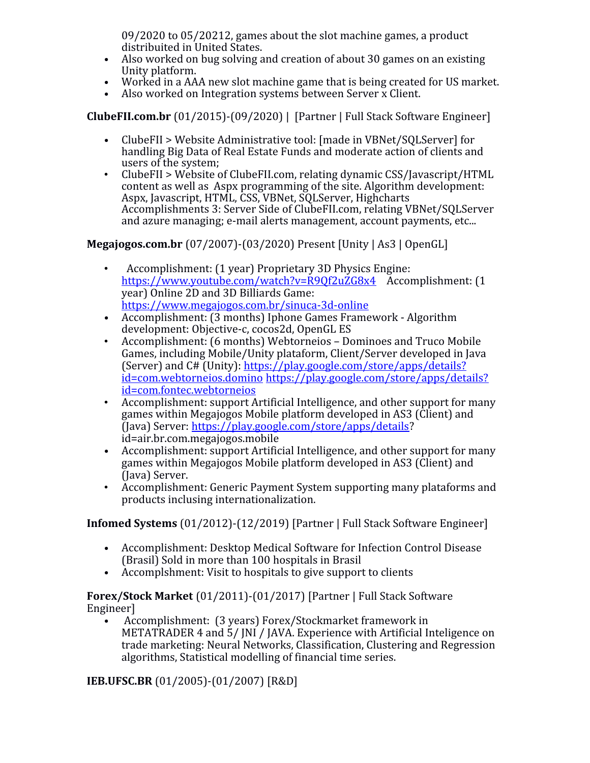09/2020 to 05/20212, games about the slot machine games, a product distribuited in United States.

- Also worked on bug solving and creation of about 30 games on an existing Unity platform.
- Worked in a AAA new slot machine game that is being created for US market.
- Also worked on Integration systems between Server x Client.

**ClubeFII.com.br** (01/2015)-(09/2020) | [Partner | Full Stack Software Engineer]

- ClubeFII > Website Administrative tool: [made in VBNet/SQLServer] for handling Big Data of Real Estate Funds and moderate action of clients and users of the system;
- ClubeFII > Website of ClubeFII.com, relating dynamic CSS/Javascript/HTML content as well as Aspx programming of the site. Algorithm development: Aspx, Javascript, HTML, CSS, VBNet, SQLServer, Highcharts Accomplishments 3: Server Side of ClubeFII.com, relating VBNet/SQLServer and azure managing; e-mail alerts management, account payments, etc...

**Megajogos.com.br** (07/2007)-(03/2020) Present [Unity | As3 | OpenGL]

- Accomplishment: (1 year) Proprietary 3D Physics Engine: <https://www.youtube.com/watch?v=R9Qf2uZG8x4>Accomplishment: (1 year) Online 2D and 3D Billiards Game: <https://www.megajogos.com.br/sinuca-3d-online>
- Accomplishment: (3 months) Iphone Games Framework Algorithm development: Objective-c, cocos2d, OpenGL ES
- Accomplishment: (6 months) Webtorneios Dominoes and Truco Mobile Games, including Mobile/Unity plataform, Client/Server developed in Java (Server) and C# (Unity): [https://play.google.com/store/apps/details?](https://play.google.com/store/apps/details?id=com.webtorneios.domino) [id=com.webtorneios.domino](https://play.google.com/store/apps/details?id=com.webtorneios.domino) [https://play.google.com/store/apps/details?](https://play.google.com/store/apps/details?id=com.fontec.webtorneios) [id=com.fontec.webtorneios](https://play.google.com/store/apps/details?id=com.fontec.webtorneios)
- Accomplishment: support Artificial Intelligence, and other support for many games within Megajogos Mobile platform developed in AS3 (Client) and (Java) Server: [https://play.google.com/store/apps/details?](https://play.google.com/store/apps/details) id=air.br.com.megajogos.mobile
- Accomplishment: support Artificial Intelligence, and other support for many games within Megajogos Mobile platform developed in AS3 (Client) and (Java) Server.
- Accomplishment: Generic Payment System supporting many plataforms and products inclusing internationalization.

**Infomed Systems** (01/2012)-(12/2019) [Partner | Full Stack Software Engineer]

- Accomplishment: Desktop Medical Software for Infection Control Disease (Brasil) Sold in more than 100 hospitals in Brasil
- Accomplshment: Visit to hospitals to give support to clients

**Forex/Stock Market** (01/2011)-(01/2017) [Partner | Full Stack Software Engineer]

• Accomplishment: (3 years) Forex/Stockmarket framework in METATRADER 4 and 5/ JNI / JAVA. Experience with Artificial Inteligence on trade marketing: Neural Networks, Classification, Clustering and Regression algorithms, Statistical modelling of financial time series.

**IEB.UFSC.BR** (01/2005)-(01/2007) [R&D]